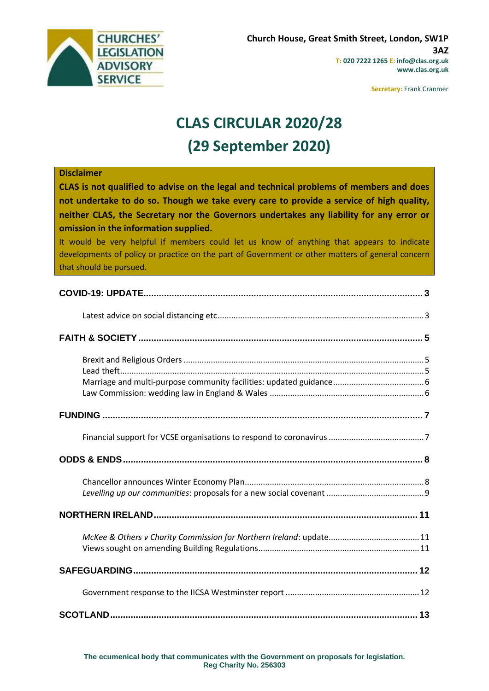

**Secretary:** Frank Cranmer

# **CLAS CIRCULAR 2020/28 (29 September 2020)**

#### **Disclaimer**

**CLAS is not qualified to advise on the legal and technical problems of members and does not undertake to do so. Though we take every care to provide a service of high quality, neither CLAS, the Secretary nor the Governors undertakes any liability for any error or omission in the information supplied.**

It would be very helpful if members could let us know of anything that appears to indicate developments of policy or practice on the part of Government or other matters of general concern that should be pursued.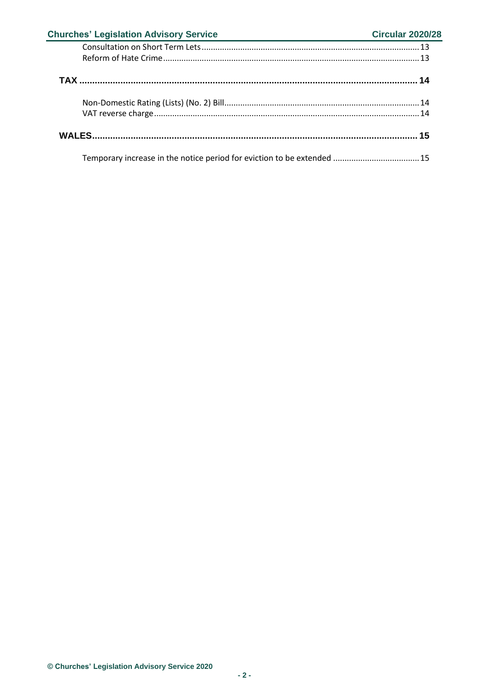| <b>Churches' Legislation Advisory Service</b><br><u> 1980 - Johann Barn, mars an t-Amerikaansk kommunister (</u> | <b>Circular 2020/28</b> |
|------------------------------------------------------------------------------------------------------------------|-------------------------|
|                                                                                                                  |                         |
|                                                                                                                  |                         |
|                                                                                                                  |                         |
|                                                                                                                  |                         |
|                                                                                                                  |                         |
|                                                                                                                  |                         |
|                                                                                                                  |                         |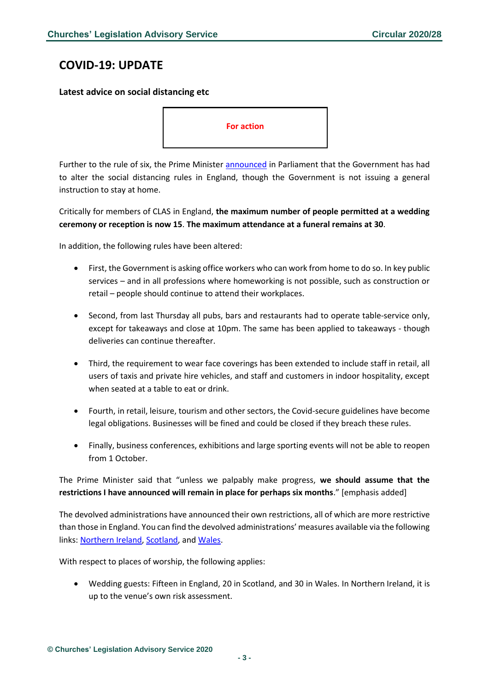### <span id="page-2-0"></span>**COVID-19: UPDATE**

#### <span id="page-2-1"></span>**Latest advice on social distancing etc**



Further to the rule of six, the Prime Ministe[r announced](https://www.gov.uk/government/speeches/pm-commons-statement-on-coronavirus-22-september-2020) in Parliament that the Government has had to alter the social distancing rules in England, though the Government is not issuing a general instruction to stay at home.

Critically for members of CLAS in England, **the maximum number of people permitted at a wedding ceremony or reception is now 15**. **The maximum attendance at a funeral remains at 30**.

In addition, the following rules have been altered:

- First, the Government is asking office workers who can work from home to do so. In key public services – and in all professions where homeworking is not possible, such as construction or retail – people should continue to attend their workplaces.
- Second, from last Thursday all pubs, bars and restaurants had to operate table-service only, except for takeaways and close at 10pm. The same has been applied to takeaways - though deliveries can continue thereafter.
- Third, the requirement to wear face coverings has been extended to include staff in retail, all users of taxis and private hire vehicles, and staff and customers in indoor hospitality, except when seated at a table to eat or drink.
- Fourth, in retail, leisure, tourism and other sectors, the Covid-secure guidelines have become legal obligations. Businesses will be fined and could be closed if they breach these rules.
- Finally, business conferences, exhibitions and large sporting events will not be able to reopen from 1 October.

The Prime Minister said that "unless we palpably make progress, **we should assume that the restrictions I have announced will remain in place for perhaps six months**." [emphasis added]

The devolved administrations have announced their own restrictions, all of which are more restrictive than those in England. You can find the devolved administrations' measures available via the following links[: Northern Ireland,](https://www.nidirect.gov.uk/articles/coronavirus-covid-19-regulations-guidance-what-restrictions-mean-you) [Scotland,](https://www.gov.scot/publications/coronavirus-covid-19-what-you-can-and-cannot-do/pages/overview/) and [Wales.](https://gov.wales/coronavirus-regulations-guidance)

With respect to places of worship, the following applies:

• Wedding guests: Fifteen in England, 20 in Scotland, and 30 in Wales. In Northern Ireland, it is up to the venue's own risk assessment.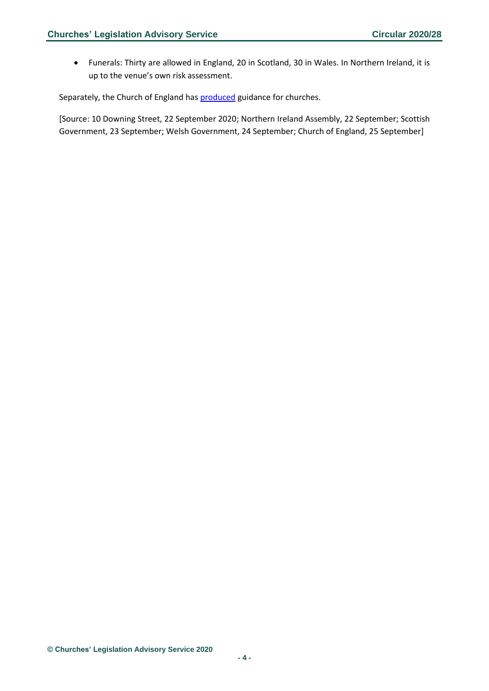• Funerals: Thirty are allowed in England, 20 in Scotland, 30 in Wales. In Northern Ireland, it is up to the venue's own risk assessment.

Separately, the Church of England has **produced** guidance for churches.

[Source: 10 Downing Street, 22 September 2020; Northern Ireland Assembly, 22 September; Scottish Government, 23 September; Welsh Government, 24 September; Church of England, 25 September]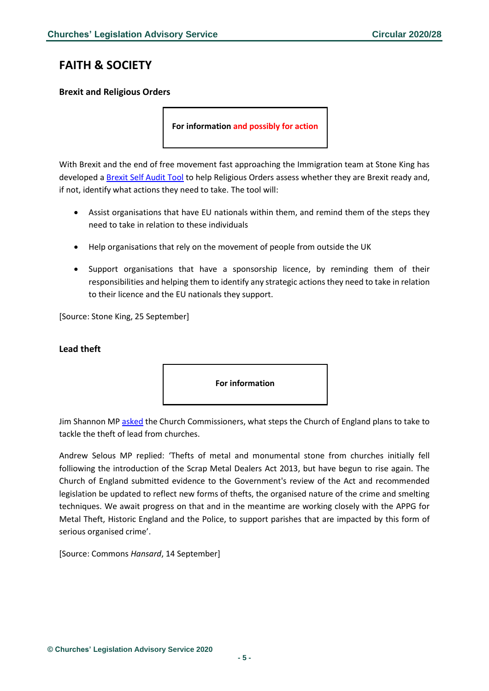### <span id="page-4-0"></span>**FAITH & SOCIETY**

#### <span id="page-4-1"></span>**Brexit and Religious Orders**

**For information and possibly for action**

With Brexit and the end of free movement fast approaching the Immigration team at Stone King has developed [a Brexit Self Audit Tool](https://stonekingllp.cmail20.com/t/i-l-mluujjt-jdukjrkuhu-p/) to help Religious Orders assess whether they are Brexit ready and, if not, identify what actions they need to take. The tool will:

- Assist organisations that have EU nationals within them, and remind them of the steps they need to take in relation to these individuals
- Help organisations that rely on the movement of people from outside the UK
- Support organisations that have a sponsorship licence, by reminding them of their responsibilities and helping them to identify any strategic actions they need to take in relation to their licence and the EU nationals they support.

[Source: Stone King, 25 September]

#### <span id="page-4-2"></span>**Lead theft**



Jim Shannon M[P asked](https://questions-statements.parliament.uk/written-questions/detail/2020-09-08/86664) the Church Commissioners, what steps the Church of England plans to take to tackle the theft of lead from churches.

Andrew Selous MP replied: 'Thefts of metal and monumental stone from churches initially fell folliowing the introduction of the Scrap Metal Dealers Act 2013, but have begun to rise again. The Church of England submitted evidence to the Government's review of the Act and recommended legislation be updated to reflect new forms of thefts, the organised nature of the crime and smelting techniques. We await progress on that and in the meantime are working closely with the APPG for Metal Theft, Historic England and the Police, to support parishes that are impacted by this form of serious organised crime'.

[Source: Commons *Hansard*, 14 September]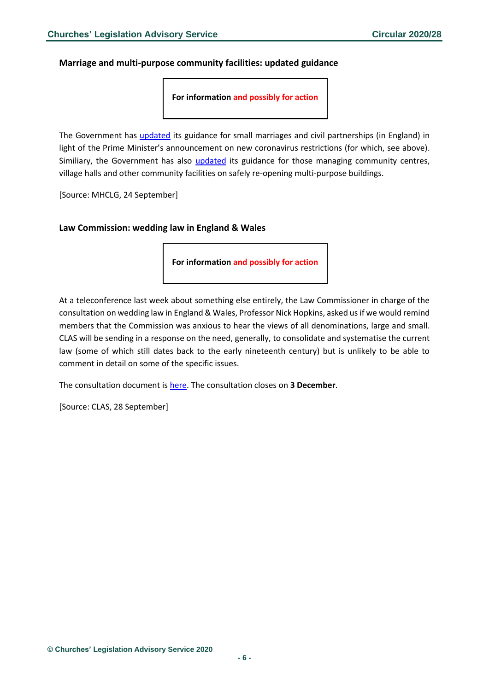#### <span id="page-5-0"></span>**Marriage and multi-purpose community facilities: updated guidance**

**For information and possibly for action**

The Government has [updated](https://www.gov.uk/government/publications/covid-19-guidance-for-small-marriages-and-civil-partnerships?utm_source=218e9618-b5c2-4394-b484-333c815f8bc0&utm_medium=email&utm_campaign=govuk-notifications&utm_content=daily) its guidance for small marriages and civil partnerships (in England) in light of the Prime Minister's announcement on new coronavirus restrictions (for which, see above). Similiary, the Government has also [updated](https://www.gov.uk/government/publications/covid-19-guidance-for-the-safe-use-of-multi-purpose-community-facilities?utm_source=1737e2a3-4c47-4d3d-bd26-dea839f59dd6&utm_medium=email&utm_campaign=govuk-notifications&utm_content=daily) its guidance for those managing community centres, village halls and other community facilities on safely re-opening multi-purpose buildings.

[Source: MHCLG, 24 September]

#### <span id="page-5-1"></span>**Law Commission: wedding law in England & Wales**

**For information and possibly for action**

At a teleconference last week about something else entirely, the Law Commissioner in charge of the consultation on wedding law in England & Wales, Professor Nick Hopkins, asked us if we would remind members that the Commission was anxious to hear the views of all denominations, large and small. CLAS will be sending in a response on the need, generally, to consolidate and systematise the current law (some of which still dates back to the early nineteenth century) but is unlikely to be able to comment in detail on some of the specific issues.

The consultation document i[s here.](https://s3-eu-west-2.amazonaws.com/lawcom-prod-storage-11jsxou24uy7q/uploads/2020/09/Getting-Married-A-Consultation-Paper-on-Wedding-Law-web.pdf) The consultation closes on **3 December**.

[Source: CLAS, 28 September]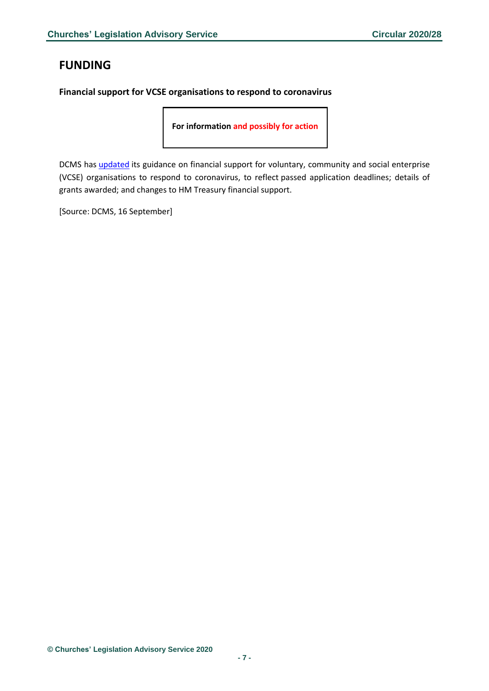# <span id="page-6-0"></span>**FUNDING**

<span id="page-6-1"></span>**Financial support for VCSE organisations to respond to coronavirus**

**For information and possibly for action**

DCMS has [updated](https://www.gov.uk/guidance/financial-support-for-voluntary-community-and-social-enterprise-vcse-organisations-to-respond-to-coronavirus-covid-19#history) its guidance on financial support for voluntary, community and social enterprise (VCSE) organisations to respond to coronavirus, to reflect passed application deadlines; details of grants awarded; and changes to HM Treasury financial support.

[Source: DCMS, 16 September]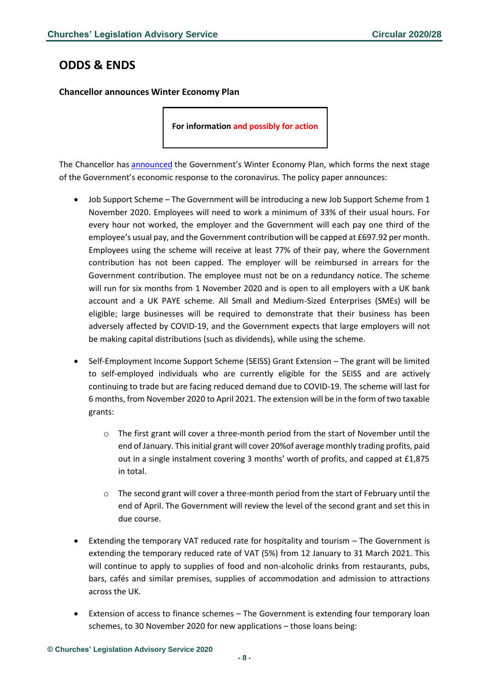### <span id="page-7-0"></span>**ODDS & ENDS**

<span id="page-7-1"></span>**Chancellor announces Winter Economy Plan**

**For information and possibly for action**

The Chancellor has [announced](https://www.gov.uk/government/publications/winter-economy-plan/winter-economy-plan) the Government's Winter Economy Plan, which forms the next stage of the Government's economic response to the coronavirus. The policy paper announces:

- Job Support Scheme The Government will be introducing a new Job Support Scheme from 1 November 2020. Employees will need to work a minimum of 33% of their usual hours. For every hour not worked, the employer and the Government will each pay one third of the employee's usual pay, and the Government contribution will be capped at £697.92 per month. Employees using the scheme will receive at least 77% of their pay, where the Government contribution has not been capped. The employer will be reimbursed in arrears for the Government contribution. The employee must not be on a redundancy notice. The scheme will run for six months from 1 November 2020 and is open to all employers with a UK bank account and a UK PAYE scheme. All Small and Medium-Sized Enterprises (SMEs) will be eligible; large businesses will be required to demonstrate that their business has been adversely affected by COVID-19, and the Government expects that large employers will not be making capital distributions (such as dividends), while using the scheme.
- Self-Employment Income Support Scheme (SEISS) Grant Extension The grant will be limited to self-employed individuals who are currently eligible for the SEISS and are actively continuing to trade but are facing reduced demand due to COVID-19. The scheme will last for 6 months, from November 2020 to April 2021. The extension will be in the form of two taxable grants:
	- o The first grant will cover a three-month period from the start of November until the end of January. This initial grant will cover 20%of average monthly trading profits, paid out in a single instalment covering 3 months' worth of profits, and capped at £1,875 in total.
	- $\circ$  The second grant will cover a three-month period from the start of February until the end of April. The Government will review the level of the second grant and set this in due course.
- Extending the temporary VAT reduced rate for hospitality and tourism The Government is extending the temporary reduced rate of VAT (5%) from 12 January to 31 March 2021. This will continue to apply to supplies of food and non-alcoholic drinks from restaurants, pubs, bars, cafés and similar premises, supplies of accommodation and admission to attractions across the UK.
- Extension of access to finance schemes The Government is extending four temporary loan schemes, to 30 November 2020 for new applications – those loans being: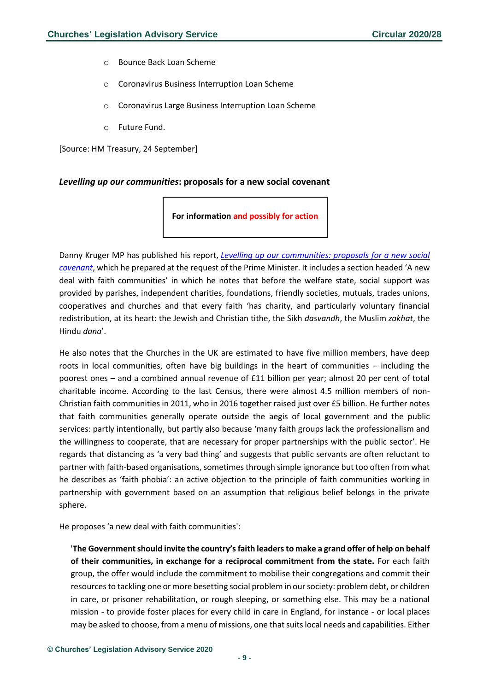- o Bounce Back Loan Scheme
- o Coronavirus Business Interruption Loan Scheme
- o Coronavirus Large Business Interruption Loan Scheme
- o Future Fund.

[Source: HM Treasury, 24 September]

#### <span id="page-8-0"></span>*Levelling up our communities***: proposals for a new social covenant**

**For information and possibly for action**

Danny Kruger MP has published his report, *[Levelling up our communities: proposals for a new social](https://www.dannykruger.org.uk/sites/www.dannykruger.org.uk/files/2020-09/Levelling%20Up%20Our%20Communities-Danny%20Kruger.pdf)  [covenant](https://www.dannykruger.org.uk/sites/www.dannykruger.org.uk/files/2020-09/Levelling%20Up%20Our%20Communities-Danny%20Kruger.pdf)*, which he prepared at the request of the Prime Minister. It includes a section headed 'A new deal with faith communities' in which he notes that before the welfare state, social support was provided by parishes, independent charities, foundations, friendly societies, mutuals, trades unions, cooperatives and churches and that every faith 'has charity, and particularly voluntary financial redistribution, at its heart: the Jewish and Christian tithe, the Sikh *dasvandh*, the Muslim *zakhat*, the Hindu *dana*'.

He also notes that the Churches in the UK are estimated to have five million members, have deep roots in local communities, often have big buildings in the heart of communities – including the poorest ones – and a combined annual revenue of £11 billion per year; almost 20 per cent of total charitable income. According to the last Census, there were almost 4.5 million members of non-Christian faith communities in 2011, who in 2016 together raised just over £5 billion. He further notes that faith communities generally operate outside the aegis of local government and the public services: partly intentionally, but partly also because 'many faith groups lack the professionalism and the willingness to cooperate, that are necessary for proper partnerships with the public sector'. He regards that distancing as 'a very bad thing' and suggests that public servants are often reluctant to partner with faith-based organisations, sometimes through simple ignorance but too often from what he describes as 'faith phobia': an active objection to the principle of faith communities working in partnership with government based on an assumption that religious belief belongs in the private sphere.

He proposes 'a new deal with faith communities':

'**The Government should invite the country's faith leaders to make a grand offer of help on behalf of their communities, in exchange for a reciprocal commitment from the state.** For each faith group, the offer would include the commitment to mobilise their congregations and commit their resources to tackling one or more besetting social problem in our society: problem debt, or children in care, or prisoner rehabilitation, or rough sleeping, or something else. This may be a national mission - to provide foster places for every child in care in England, for instance - or local places may be asked to choose, from a menu of missions, one that suits local needs and capabilities. Either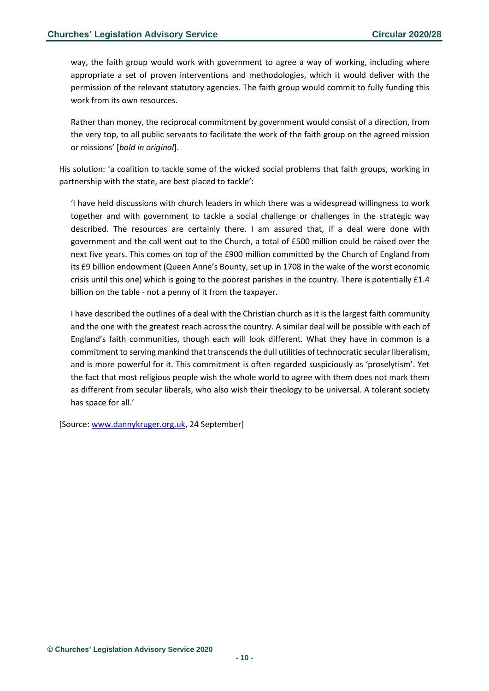way, the faith group would work with government to agree a way of working, including where appropriate a set of proven interventions and methodologies, which it would deliver with the permission of the relevant statutory agencies. The faith group would commit to fully funding this work from its own resources.

Rather than money, the reciprocal commitment by government would consist of a direction, from the very top, to all public servants to facilitate the work of the faith group on the agreed mission or missions' [*bold in original*].

His solution: 'a coalition to tackle some of the wicked social problems that faith groups, working in partnership with the state, are best placed to tackle':

'I have held discussions with church leaders in which there was a widespread willingness to work together and with government to tackle a social challenge or challenges in the strategic way described. The resources are certainly there. I am assured that, if a deal were done with government and the call went out to the Church, a total of £500 million could be raised over the next five years. This comes on top of the £900 million committed by the Church of England from its £9 billion endowment (Queen Anne's Bounty, set up in 1708 in the wake of the worst economic crisis until this one) which is going to the poorest parishes in the country. There is potentially £1.4 billion on the table - not a penny of it from the taxpayer.

I have described the outlines of a deal with the Christian church as it is the largest faith community and the one with the greatest reach across the country. A similar deal will be possible with each of England's faith communities, though each will look different. What they have in common is a commitment to serving mankind that transcends the dull utilities of technocratic secular liberalism, and is more powerful for it. This commitment is often regarded suspiciously as 'proselytism'. Yet the fact that most religious people wish the whole world to agree with them does not mark them as different from secular liberals, who also wish their theology to be universal. A tolerant society has space for all.'

[Source[: www.dannykruger.org.uk,](http://www.dannykruger.org.uk/) 24 September]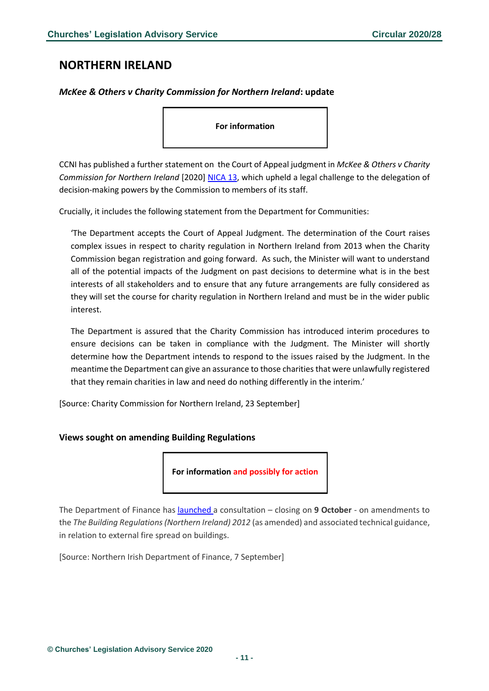### <span id="page-10-0"></span>**NORTHERN IRELAND**

#### <span id="page-10-1"></span>*McKee & Others v Charity Commission for Northern Ireland***: update**

**For information**

CCNI has published a further statement on the Court of Appeal judgment in *McKee & Others v Charity Commission for Northern Ireland* [2020] [NICA 13,](https://judiciaryni.uk/judicial-decisions/2020-nica-13) which upheld a legal challenge to the delegation of decision-making powers by the Commission to members of its staff.

Crucially, it includes the following statement from the Department for Communities:

'The Department accepts the Court of Appeal Judgment. The determination of the Court raises complex issues in respect to charity regulation in Northern Ireland from 2013 when the Charity Commission began registration and going forward. As such, the Minister will want to understand all of the potential impacts of the Judgment on past decisions to determine what is in the best interests of all stakeholders and to ensure that any future arrangements are fully considered as they will set the course for charity regulation in Northern Ireland and must be in the wider public interest.

The Department is assured that the Charity Commission has introduced interim procedures to ensure decisions can be taken in compliance with the Judgment. The Minister will shortly determine how the Department intends to respond to the issues raised by the Judgment. In the meantime the Department can give an assurance to those charities that were unlawfully registered that they remain charities in law and need do nothing differently in the interim.'

[Source: Charity Commission for Northern Ireland, 23 September]

#### <span id="page-10-2"></span>**Views sought on amending Building Regulations**



The Department of Finance has [launched](https://www.finance-ni.gov.uk/consultations/consultation-amendments-building-regulations-northern-ireland-2012-amended-and-associated-technical) a consultation – closing on **9 October** - on amendments to the *The Building Regulations (Northern Ireland) 2012* (as amended) and associated technical guidance, in relation to external fire spread on buildings.

[Source: Northern Irish Department of Finance, 7 September]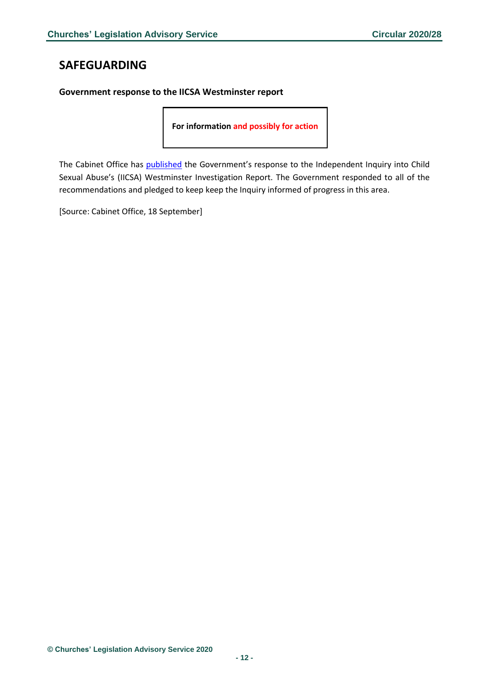### <span id="page-11-0"></span>**SAFEGUARDING**

<span id="page-11-1"></span>**Government response to the IICSA Westminster report**

**For information and possibly for action**

The Cabinet Office has [published](https://www.gov.uk/government/publications/government-response-to-the-iicsa-westminster-report/government-response-to-the-iicsa-westminster-report) the Government's response to the Independent Inquiry into Child Sexual Abuse's (IICSA) Westminster Investigation Report. The Government responded to all of the recommendations and pledged to keep keep the Inquiry informed of progress in this area.

[Source: Cabinet Office, 18 September]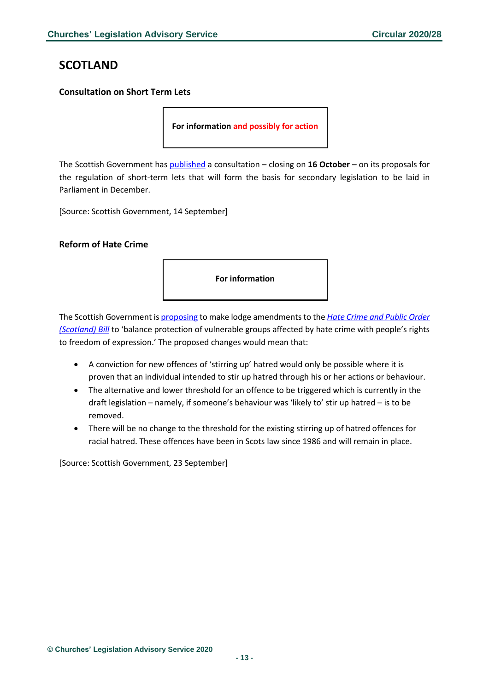# <span id="page-12-0"></span>**SCOTLAND**

#### <span id="page-12-1"></span>**Consultation on Short Term Lets**

**For information and possibly for action**

The Scottish Government has [published](https://consult.gov.scot/housing-services-policy-unit/short-term-lets-licensing-scheme/) a consultation – closing on **16 October** – on its proposals for the regulation of short-term lets that will form the basis for secondary legislation to be laid in Parliament in December.

[Source: Scottish Government, 14 September]

### <span id="page-12-2"></span>**Reform of Hate Crime**



The Scottish Government i[s proposing](https://www.gov.scot/news/hate-crime-law-reform/) to make lodge amendmentsto the *[Hate Crime and Public Order](https://beta.parliament.scot/bills/hate-crime-and-public-order-scotland-bill)  [\(Scotland\) Bill](https://beta.parliament.scot/bills/hate-crime-and-public-order-scotland-bill)* to 'balance protection of vulnerable groups affected by hate crime with people's rights to freedom of expression.' The proposed changes would mean that:

- A conviction for new offences of 'stirring up' hatred would only be possible where it is proven that an individual intended to stir up hatred through his or her actions or behaviour.
- The alternative and lower threshold for an offence to be triggered which is currently in the draft legislation – namely, if someone's behaviour was 'likely to' stir up hatred – is to be removed.
- There will be no change to the threshold for the existing stirring up of hatred offences for racial hatred. These offences have been in Scots law since 1986 and will remain in place.

[Source: Scottish Government, 23 September]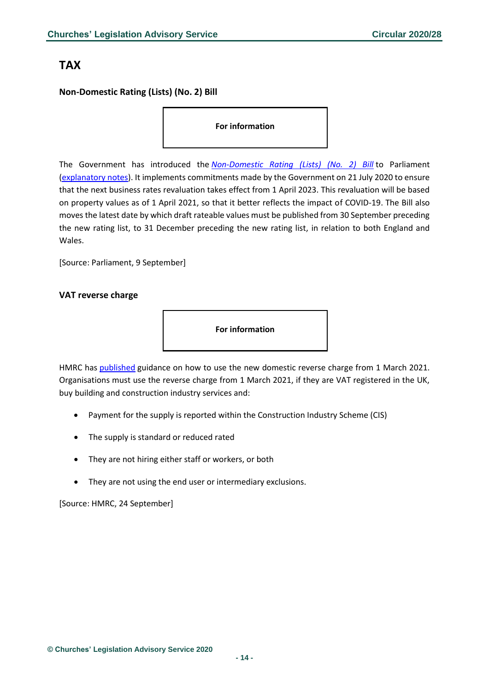### <span id="page-13-0"></span>**TAX**

### <span id="page-13-1"></span>**Non-Domestic Rating (Lists) (No. 2) Bill**

**For information**

The Government has introduced the *[Non-Domestic Rating \(Lists\) \(No. 2\) Bill](https://publications.parliament.uk/pa/bills/cbill/58-01/0174/200174.pdf)* to Parliament [\(explanatory notes\)](https://publications.parliament.uk/pa/bills/cbill/58-01/0174/en/200174en.pdf). It implements commitments made by the Government on 21 July 2020 to ensure that the next business rates revaluation takes effect from 1 April 2023. This revaluation will be based on property values as of 1 April 2021, so that it better reflects the impact of COVID-19. The Bill also moves the latest date by which draft rateable values must be published from 30 September preceding the new rating list, to 31 December preceding the new rating list, in relation to both England and Wales.

[Source: Parliament, 9 September]

#### <span id="page-13-2"></span>**VAT reverse charge**



HMRC has [published](https://www.gov.uk/guidance/vat-reverse-charge-technical-guide?utm_source=c0cff4e3-1e44-4444-a7d1-507d0accf80c&utm_medium=email&utm_campaign=govuk-notifications&utm_content=daily) guidance on how to use the new domestic reverse charge from 1 March 2021. Organisations must use the reverse charge from 1 March 2021, if they are VAT registered in the UK, buy building and construction industry services and:

- Payment for the supply is reported within the Construction Industry Scheme (CIS)
- The supply is standard or reduced rated
- They are not hiring either staff or workers, or both
- They are not using the end user or intermediary exclusions.

[Source: HMRC, 24 September]